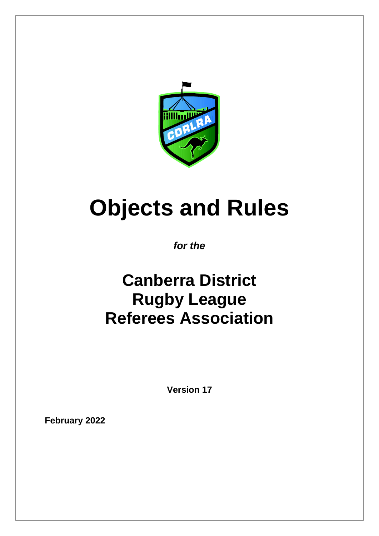

# **Objects and Rules**

*for the*

# **Canberra District Rugby League Referees Association**

**Version 17**

**February 2022**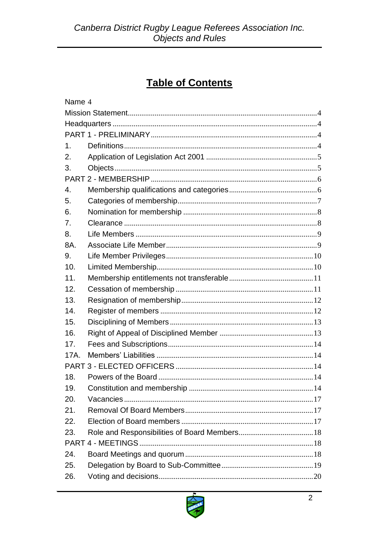# **Table of Contents**

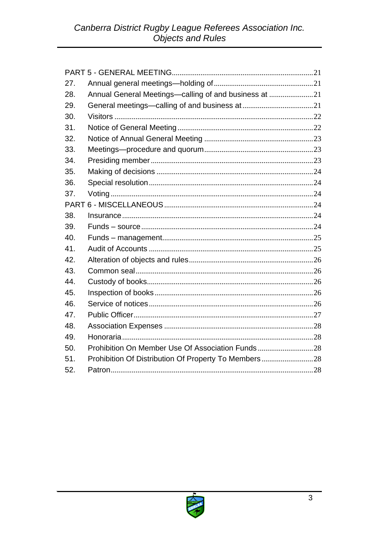| 27. |                                                       |  |
|-----|-------------------------------------------------------|--|
| 28. | Annual General Meetings-calling of and business at 21 |  |
| 29. |                                                       |  |
| 30. |                                                       |  |
| 31. |                                                       |  |
| 32. |                                                       |  |
| 33. |                                                       |  |
| 34. |                                                       |  |
| 35. |                                                       |  |
| 36. |                                                       |  |
| 37. |                                                       |  |
|     |                                                       |  |
| 38. |                                                       |  |
| 39. |                                                       |  |
| 40. |                                                       |  |
| 41. |                                                       |  |
| 42. |                                                       |  |
| 43. |                                                       |  |
| 44. |                                                       |  |
| 45. |                                                       |  |
| 46. |                                                       |  |
| 47. |                                                       |  |
| 48. |                                                       |  |
| 49. |                                                       |  |
| 50. |                                                       |  |
| 51. | Prohibition Of Distribution Of Property To Members28  |  |
| 52. |                                                       |  |

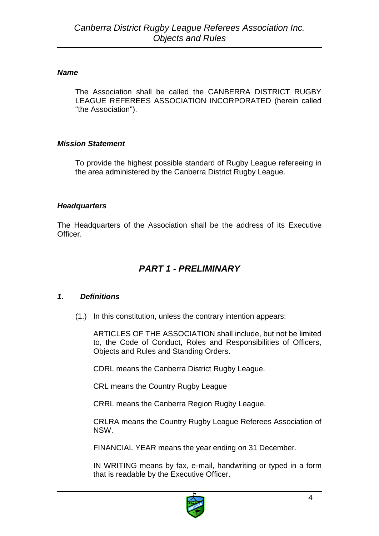#### <span id="page-3-0"></span>*Name*

The Association shall be called the CANBERRA DISTRICT RUGBY LEAGUE REFEREES ASSOCIATION INCORPORATED (herein called "the Association").

#### <span id="page-3-1"></span>*Mission Statement*

To provide the highest possible standard of Rugby League refereeing in the area administered by the Canberra District Rugby League.

#### <span id="page-3-2"></span>*Headquarters*

<span id="page-3-3"></span>The Headquarters of the Association shall be the address of its Executive Officer.

# *PART 1 - PRELIMINARY*

# <span id="page-3-4"></span>*1. Definitions*

(1.) In this constitution, unless the contrary intention appears:

ARTICLES OF THE ASSOCIATION shall include, but not be limited to, the Code of Conduct, Roles and Responsibilities of Officers, Objects and Rules and Standing Orders.

CDRL means the Canberra District Rugby League.

CRL means the Country Rugby League

CRRL means the Canberra Region Rugby League.

CRLRA means the Country Rugby League Referees Association of NSW.

FINANCIAL YEAR means the year ending on 31 December.

IN WRITING means by fax, e-mail, handwriting or typed in a form that is readable by the Executive Officer.

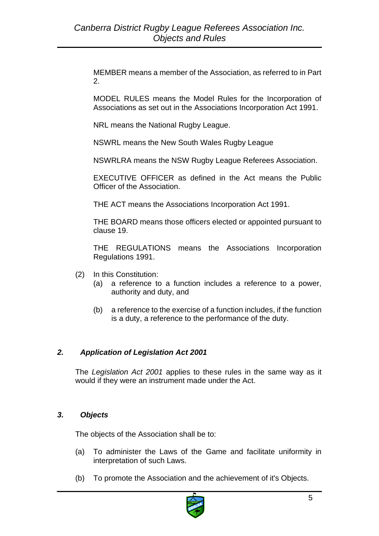MEMBER means a member of the Association, as referred to in Part 2.

MODEL RULES means the Model Rules for the Incorporation of Associations as set out in the Associations Incorporation Act 1991.

NRL means the National Rugby League.

NSWRL means the New South Wales Rugby League

NSWRLRA means the NSW Rugby League Referees Association.

EXECUTIVE OFFICER as defined in the Act means the Public Officer of the Association.

THE ACT means the Associations Incorporation Act 1991.

THE BOARD means those officers elected or appointed pursuant to clause 19.

THE REGULATIONS means the Associations Incorporation Regulations 1991.

- (2) In this Constitution:
	- (a) a reference to a function includes a reference to a power, authority and duty, and
	- (b) a reference to the exercise of a function includes, if the function is a duty, a reference to the performance of the duty.

#### <span id="page-4-0"></span>*2. Application of Legislation Act 2001*

The *Legislation Act 2001* applies to these rules in the same way as it would if they were an instrument made under the Act.

#### <span id="page-4-1"></span>*3. Objects*

The objects of the Association shall be to:

- (a) To administer the Laws of the Game and facilitate uniformity in interpretation of such Laws.
- (b) To promote the Association and the achievement of it's Objects.

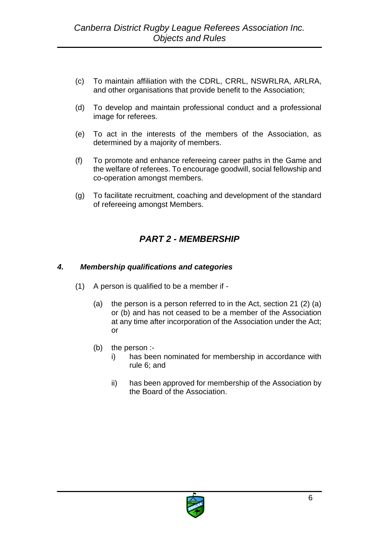- (c) To maintain affiliation with the CDRL, CRRL, NSWRLRA, ARLRA, and other organisations that provide benefit to the Association;
- (d) To develop and maintain professional conduct and a professional image for referees.
- (e) To act in the interests of the members of the Association, as determined by a majority of members.
- (f) To promote and enhance refereeing career paths in the Game and the welfare of referees. To encourage goodwill, social fellowship and co-operation amongst members.
- (g) To facilitate recruitment, coaching and development of the standard of refereeing amongst Members.

# *PART 2 - MEMBERSHIP*

#### <span id="page-5-1"></span><span id="page-5-0"></span>*4. Membership qualifications and categories*

- (1) A person is qualified to be a member if
	- (a) the person is a person referred to in the Act, section 21 (2) (a) or (b) and has not ceased to be a member of the Association at any time after incorporation of the Association under the Act; or
	- (b) the person :
		- i) has been nominated for membership in accordance with rule 6; and
		- ii) has been approved for membership of the Association by the Board of the Association.

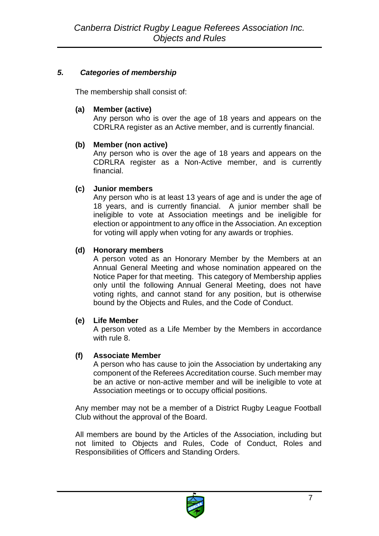# <span id="page-6-0"></span>*5. Categories of membership*

The membership shall consist of:

#### **(a) Member (active)**

Any person who is over the age of 18 years and appears on the CDRLRA register as an Active member, and is currently financial.

# **(b) Member (non active)**

Any person who is over the age of 18 years and appears on the CDRLRA register as a Non-Active member, and is currently financial.

# **(c) Junior members**

Any person who is at least 13 years of age and is under the age of 18 years, and is currently financial. A junior member shall be ineligible to vote at Association meetings and be ineligible for election or appointment to any office in the Association. An exception for voting will apply when voting for any awards or trophies.

# **(d) Honorary members**

A person voted as an Honorary Member by the Members at an Annual General Meeting and whose nomination appeared on the Notice Paper for that meeting. This category of Membership applies only until the following Annual General Meeting, does not have voting rights, and cannot stand for any position, but is otherwise bound by the Objects and Rules, and the Code of Conduct.

# **(e) Life Member**

A person voted as a Life Member by the Members in accordance with rule 8.

# **(f) Associate Member**

A person who has cause to join the Association by undertaking any component of the Referees Accreditation course. Such member may be an active or non-active member and will be ineligible to vote at Association meetings or to occupy official positions.

Any member may not be a member of a District Rugby League Football Club without the approval of the Board.

All members are bound by the Articles of the Association, including but not limited to Objects and Rules, Code of Conduct, Roles and Responsibilities of Officers and Standing Orders.

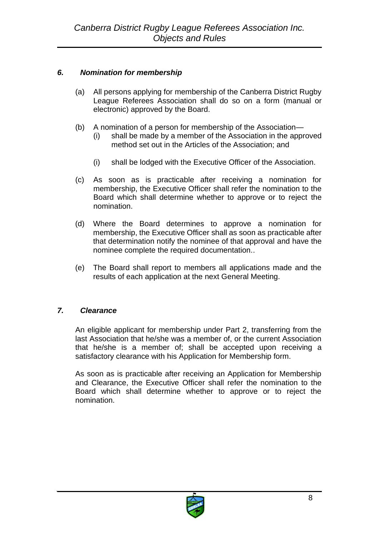# <span id="page-7-0"></span>*6. Nomination for membership*

- (a) All persons applying for membership of the Canberra District Rugby League Referees Association shall do so on a form (manual or electronic) approved by the Board.
- (b) A nomination of a person for membership of the Association—
	- (i) shall be made by a member of the Association in the approved method set out in the Articles of the Association; and
	- (i) shall be lodged with the Executive Officer of the Association.
- (c) As soon as is practicable after receiving a nomination for membership, the Executive Officer shall refer the nomination to the Board which shall determine whether to approve or to reject the nomination.
- (d) Where the Board determines to approve a nomination for membership, the Executive Officer shall as soon as practicable after that determination notify the nominee of that approval and have the nominee complete the required documentation..
- (e) The Board shall report to members all applications made and the results of each application at the next General Meeting.

# <span id="page-7-1"></span>*7. Clearance*

An eligible applicant for membership under Part 2, transferring from the last Association that he/she was a member of, or the current Association that he/she is a member of; shall be accepted upon receiving a satisfactory clearance with his Application for Membership form.

As soon as is practicable after receiving an Application for Membership and Clearance, the Executive Officer shall refer the nomination to the Board which shall determine whether to approve or to reject the nomination.

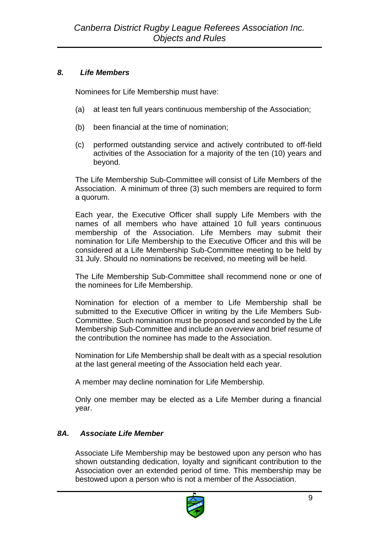#### <span id="page-8-0"></span>*8. Life Members*

Nominees for Life Membership must have:

- (a) at least ten full years continuous membership of the Association;
- (b) been financial at the time of nomination;
- (c) performed outstanding service and actively contributed to off-field activities of the Association for a majority of the ten (10) years and beyond.

The Life Membership Sub-Committee will consist of Life Members of the Association. A minimum of three (3) such members are required to form a quorum.

Each year, the Executive Officer shall supply Life Members with the names of all members who have attained 10 full years continuous membership of the Association. Life Members may submit their nomination for Life Membership to the Executive Officer and this will be considered at a Life Membership Sub-Committee meeting to be held by 31 July. Should no nominations be received, no meeting will be held.

The Life Membership Sub-Committee shall recommend none or one of the nominees for Life Membership.

Nomination for election of a member to Life Membership shall be submitted to the Executive Officer in writing by the Life Members Sub-Committee. Such nomination must be proposed and seconded by the Life Membership Sub-Committee and include an overview and brief resume of the contribution the nominee has made to the Association.

Nomination for Life Membership shall be dealt with as a special resolution at the last general meeting of the Association held each year.

A member may decline nomination for Life Membership.

Only one member may be elected as a Life Member during a financial year.

# <span id="page-8-1"></span>*8A. Associate Life Member*

Associate Life Membership may be bestowed upon any person who has shown outstanding dedication, loyalty and significant contribution to the Association over an extended period of time. This membership may be bestowed upon a person who is not a member of the Association.

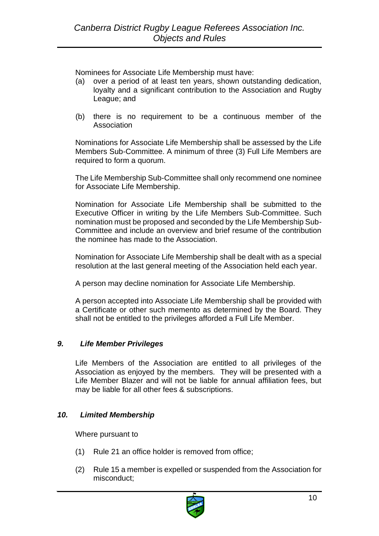Nominees for Associate Life Membership must have:

- (a) over a period of at least ten years, shown outstanding dedication, loyalty and a significant contribution to the Association and Rugby League; and
- (b) there is no requirement to be a continuous member of the Association

Nominations for Associate Life Membership shall be assessed by the Life Members Sub-Committee. A minimum of three (3) Full Life Members are required to form a quorum.

The Life Membership Sub-Committee shall only recommend one nominee for Associate Life Membership.

Nomination for Associate Life Membership shall be submitted to the Executive Officer in writing by the Life Members Sub-Committee. Such nomination must be proposed and seconded by the Life Membership Sub-Committee and include an overview and brief resume of the contribution the nominee has made to the Association.

Nomination for Associate Life Membership shall be dealt with as a special resolution at the last general meeting of the Association held each year.

A person may decline nomination for Associate Life Membership.

A person accepted into Associate Life Membership shall be provided with a Certificate or other such memento as determined by the Board. They shall not be entitled to the privileges afforded a Full Life Member.

#### <span id="page-9-0"></span>*9. Life Member Privileges*

Life Members of the Association are entitled to all privileges of the Association as enjoyed by the members. They will be presented with a Life Member Blazer and will not be liable for annual affiliation fees, but may be liable for all other fees & subscriptions.

#### <span id="page-9-1"></span>*10. Limited Membership*

Where pursuant to

- (1) Rule 21 an office holder is removed from office;
- (2) Rule 15 a member is expelled or suspended from the Association for misconduct;

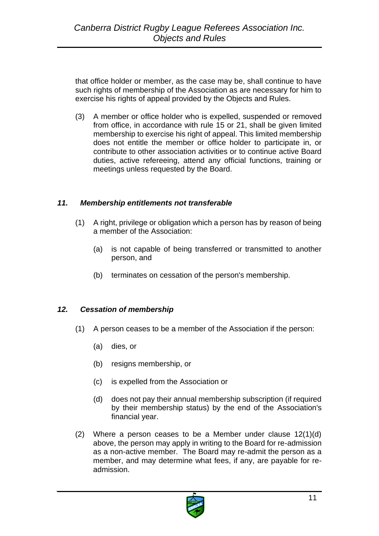that office holder or member, as the case may be, shall continue to have such rights of membership of the Association as are necessary for him to exercise his rights of appeal provided by the Objects and Rules.

(3) A member or office holder who is expelled, suspended or removed from office, in accordance with rule 15 or 21, shall be given limited membership to exercise his right of appeal. This limited membership does not entitle the member or office holder to participate in, or contribute to other association activities or to continue active Board duties, active refereeing, attend any official functions, training or meetings unless requested by the Board.

#### <span id="page-10-0"></span>*11. Membership entitlements not transferable*

- (1) A right, privilege or obligation which a person has by reason of being a member of the Association:
	- (a) is not capable of being transferred or transmitted to another person, and
	- (b) terminates on cessation of the person's membership.

#### <span id="page-10-1"></span>*12. Cessation of membership*

- (1) A person ceases to be a member of the Association if the person:
	- (a) dies, or
	- (b) resigns membership, or
	- (c) is expelled from the Association or
	- (d) does not pay their annual membership subscription (if required by their membership status) by the end of the Association's financial year.
- (2) Where a person ceases to be a Member under clause 12(1)(d) above, the person may apply in writing to the Board for re-admission as a non-active member. The Board may re-admit the person as a member, and may determine what fees, if any, are payable for readmission.

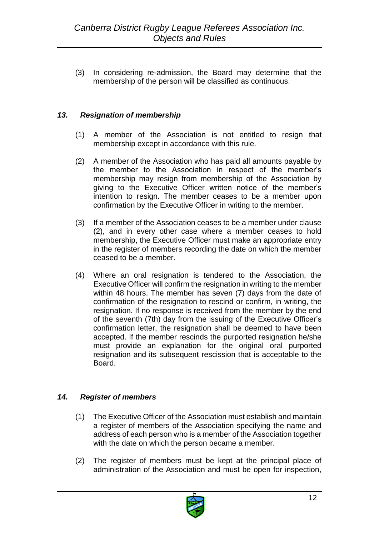(3) In considering re-admission, the Board may determine that the membership of the person will be classified as continuous.

# <span id="page-11-0"></span>*13. Resignation of membership*

- (1) A member of the Association is not entitled to resign that membership except in accordance with this rule.
- (2) A member of the Association who has paid all amounts payable by the member to the Association in respect of the member's membership may resign from membership of the Association by giving to the Executive Officer written notice of the member's intention to resign. The member ceases to be a member upon confirmation by the Executive Officer in writing to the member.
- (3) If a member of the Association ceases to be a member under clause (2), and in every other case where a member ceases to hold membership, the Executive Officer must make an appropriate entry in the register of members recording the date on which the member ceased to be a member.
- (4) Where an oral resignation is tendered to the Association, the Executive Officer will confirm the resignation in writing to the member within 48 hours. The member has seven (7) days from the date of confirmation of the resignation to rescind or confirm, in writing, the resignation. If no response is received from the member by the end of the seventh (7th) day from the issuing of the Executive Officer's confirmation letter, the resignation shall be deemed to have been accepted. If the member rescinds the purported resignation he/she must provide an explanation for the original oral purported resignation and its subsequent rescission that is acceptable to the Board.

# <span id="page-11-1"></span>*14. Register of members*

- (1) The Executive Officer of the Association must establish and maintain a register of members of the Association specifying the name and address of each person who is a member of the Association together with the date on which the person became a member.
- (2) The register of members must be kept at the principal place of administration of the Association and must be open for inspection,

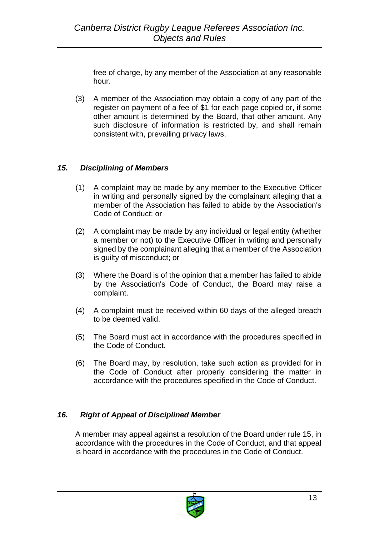free of charge, by any member of the Association at any reasonable hour.

(3) A member of the Association may obtain a copy of any part of the register on payment of a fee of \$1 for each page copied or, if some other amount is determined by the Board, that other amount. Any such disclosure of information is restricted by, and shall remain consistent with, prevailing privacy laws.

# <span id="page-12-0"></span>*15. Disciplining of Members*

- (1) A complaint may be made by any member to the Executive Officer in writing and personally signed by the complainant alleging that a member of the Association has failed to abide by the Association's Code of Conduct; or
- (2) A complaint may be made by any individual or legal entity (whether a member or not) to the Executive Officer in writing and personally signed by the complainant alleging that a member of the Association is guilty of misconduct; or
- (3) Where the Board is of the opinion that a member has failed to abide by the Association's Code of Conduct, the Board may raise a complaint.
- (4) A complaint must be received within 60 days of the alleged breach to be deemed valid.
- (5) The Board must act in accordance with the procedures specified in the Code of Conduct.
- (6) The Board may, by resolution, take such action as provided for in the Code of Conduct after properly considering the matter in accordance with the procedures specified in the Code of Conduct.

# <span id="page-12-1"></span>*16. Right of Appeal of Disciplined Member*

A member may appeal against a resolution of the Board under rule 15, in accordance with the procedures in the Code of Conduct, and that appeal is heard in accordance with the procedures in the Code of Conduct.

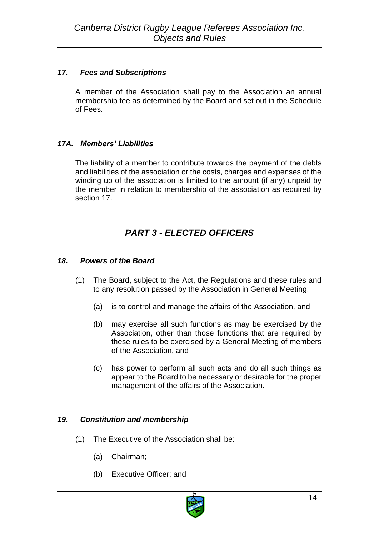# <span id="page-13-0"></span>*17. Fees and Subscriptions*

A member of the Association shall pay to the Association an annual membership fee as determined by the Board and set out in the Schedule of Fees.

# <span id="page-13-1"></span>*17A. Members' Liabilities*

The liability of a member to contribute towards the payment of the debts and liabilities of the association or the costs, charges and expenses of the winding up of the association is limited to the amount (if any) unpaid by the member in relation to membership of the association as required by section 17.

# *PART 3 - ELECTED OFFICERS*

# <span id="page-13-3"></span><span id="page-13-2"></span>*18. Powers of the Board*

- (1) The Board, subject to the Act, the Regulations and these rules and to any resolution passed by the Association in General Meeting:
	- (a) is to control and manage the affairs of the Association, and
	- (b) may exercise all such functions as may be exercised by the Association, other than those functions that are required by these rules to be exercised by a General Meeting of members of the Association, and
	- (c) has power to perform all such acts and do all such things as appear to the Board to be necessary or desirable for the proper management of the affairs of the Association.

# <span id="page-13-4"></span>*19. Constitution and membership*

- (1) The Executive of the Association shall be:
	- (a) Chairman;
	- (b) Executive Officer; and

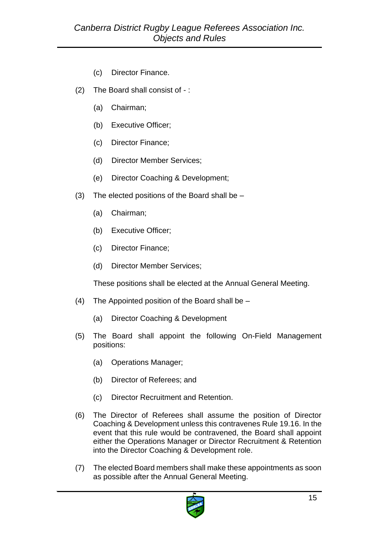- (c) Director Finance.
- (2) The Board shall consist of :
	- (a) Chairman;
	- (b) Executive Officer;
	- (c) Director Finance;
	- (d) Director Member Services;
	- (e) Director Coaching & Development;
- (3) The elected positions of the Board shall be  $-$ 
	- (a) Chairman;
	- (b) Executive Officer;
	- (c) Director Finance;
	- (d) Director Member Services;

These positions shall be elected at the Annual General Meeting.

- (4) The Appointed position of the Board shall be
	- (a) Director Coaching & Development
- (5) The Board shall appoint the following On-Field Management positions:
	- (a) Operations Manager;
	- (b) Director of Referees; and
	- (c) Director Recruitment and Retention.
- (6) The Director of Referees shall assume the position of Director Coaching & Development unless this contravenes Rule 19.16. In the event that this rule would be contravened, the Board shall appoint either the Operations Manager or Director Recruitment & Retention into the Director Coaching & Development role.
- (7) The elected Board members shall make these appointments as soon as possible after the Annual General Meeting.

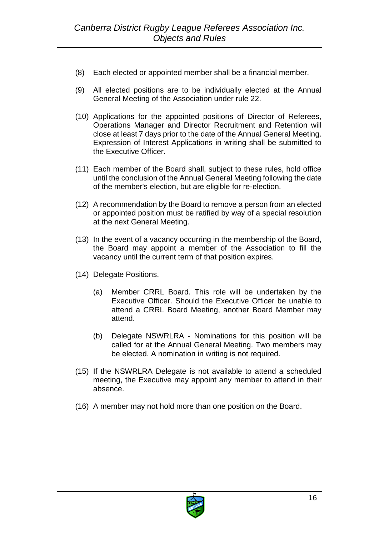- (8) Each elected or appointed member shall be a financial member.
- (9) All elected positions are to be individually elected at the Annual General Meeting of the Association under rule 22.
- (10) Applications for the appointed positions of Director of Referees, Operations Manager and Director Recruitment and Retention will close at least 7 days prior to the date of the Annual General Meeting. Expression of Interest Applications in writing shall be submitted to the Executive Officer.
- (11) Each member of the Board shall, subject to these rules, hold office until the conclusion of the Annual General Meeting following the date of the member's election, but are eligible for re-election.
- (12) A recommendation by the Board to remove a person from an elected or appointed position must be ratified by way of a special resolution at the next General Meeting.
- (13) In the event of a vacancy occurring in the membership of the Board, the Board may appoint a member of the Association to fill the vacancy until the current term of that position expires.
- (14) Delegate Positions.
	- (a) Member CRRL Board. This role will be undertaken by the Executive Officer. Should the Executive Officer be unable to attend a CRRL Board Meeting, another Board Member may attend.
	- (b) Delegate NSWRLRA Nominations for this position will be called for at the Annual General Meeting. Two members may be elected. A nomination in writing is not required.
- (15) If the NSWRLRA Delegate is not available to attend a scheduled meeting, the Executive may appoint any member to attend in their absence.
- (16) A member may not hold more than one position on the Board.

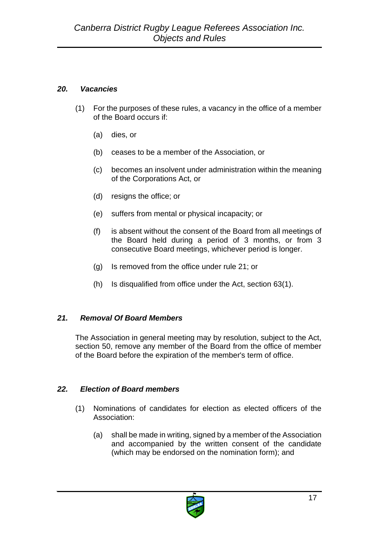# <span id="page-16-0"></span>*20. Vacancies*

- (1) For the purposes of these rules, a vacancy in the office of a member of the Board occurs if:
	- (a) dies, or
	- (b) ceases to be a member of the Association, or
	- (c) becomes an insolvent under administration within the meaning of the Corporations Act, or
	- (d) resigns the office; or
	- (e) suffers from mental or physical incapacity; or
	- (f) is absent without the consent of the Board from all meetings of the Board held during a period of 3 months, or from 3 consecutive Board meetings, whichever period is longer.
	- (g) Is removed from the office under rule 21; or
	- (h) Is disqualified from office under the Act, section 63(1).

# <span id="page-16-1"></span>*21. Removal Of Board Members*

The Association in general meeting may by resolution, subject to the Act, section 50, remove any member of the Board from the office of member of the Board before the expiration of the member's term of office.

# <span id="page-16-2"></span>*22. Election of Board members*

- (1) Nominations of candidates for election as elected officers of the Association:
	- (a) shall be made in writing, signed by a member of the Association and accompanied by the written consent of the candidate (which may be endorsed on the nomination form); and

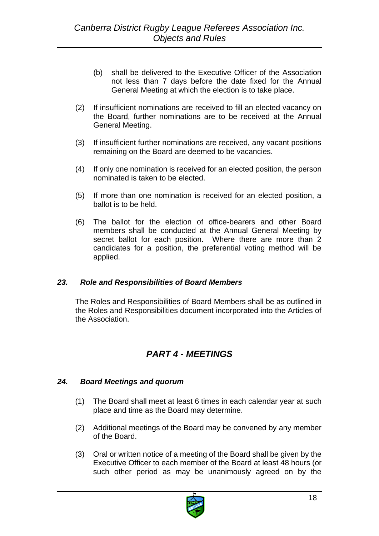- (b) shall be delivered to the Executive Officer of the Association not less than 7 days before the date fixed for the Annual General Meeting at which the election is to take place.
- (2) If insufficient nominations are received to fill an elected vacancy on the Board, further nominations are to be received at the Annual General Meeting.
- (3) If insufficient further nominations are received, any vacant positions remaining on the Board are deemed to be vacancies.
- (4) If only one nomination is received for an elected position, the person nominated is taken to be elected.
- (5) If more than one nomination is received for an elected position, a ballot is to be held.
- (6) The ballot for the election of office-bearers and other Board members shall be conducted at the Annual General Meeting by secret ballot for each position. Where there are more than 2 candidates for a position, the preferential voting method will be applied.

#### <span id="page-17-0"></span>*23. Role and Responsibilities of Board Members*

The Roles and Responsibilities of Board Members shall be as outlined in the Roles and Responsibilities document incorporated into the Articles of the Association.

# *PART 4 - MEETINGS*

#### <span id="page-17-2"></span><span id="page-17-1"></span>*24. Board Meetings and quorum*

- (1) The Board shall meet at least 6 times in each calendar year at such place and time as the Board may determine.
- (2) Additional meetings of the Board may be convened by any member of the Board.
- (3) Oral or written notice of a meeting of the Board shall be given by the Executive Officer to each member of the Board at least 48 hours (or such other period as may be unanimously agreed on by the

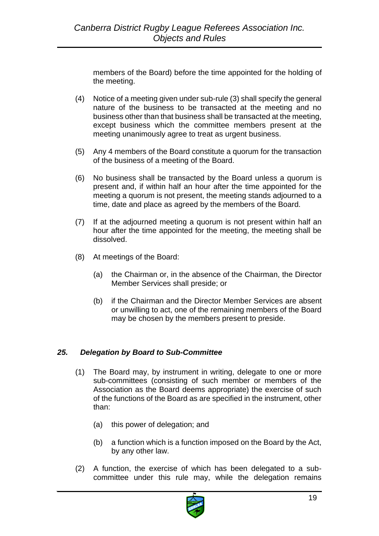members of the Board) before the time appointed for the holding of the meeting.

- (4) Notice of a meeting given under sub-rule (3) shall specify the general nature of the business to be transacted at the meeting and no business other than that business shall be transacted at the meeting, except business which the committee members present at the meeting unanimously agree to treat as urgent business.
- (5) Any 4 members of the Board constitute a quorum for the transaction of the business of a meeting of the Board.
- (6) No business shall be transacted by the Board unless a quorum is present and, if within half an hour after the time appointed for the meeting a quorum is not present, the meeting stands adjourned to a time, date and place as agreed by the members of the Board.
- (7) If at the adjourned meeting a quorum is not present within half an hour after the time appointed for the meeting, the meeting shall be dissolved.
- (8) At meetings of the Board:
	- (a) the Chairman or, in the absence of the Chairman, the Director Member Services shall preside; or
	- (b) if the Chairman and the Director Member Services are absent or unwilling to act, one of the remaining members of the Board may be chosen by the members present to preside.

# <span id="page-18-0"></span>*25. Delegation by Board to Sub-Committee*

- (1) The Board may, by instrument in writing, delegate to one or more sub-committees (consisting of such member or members of the Association as the Board deems appropriate) the exercise of such of the functions of the Board as are specified in the instrument, other than:
	- (a) this power of delegation; and
	- (b) a function which is a function imposed on the Board by the Act, by any other law.
- (2) A function, the exercise of which has been delegated to a subcommittee under this rule may, while the delegation remains

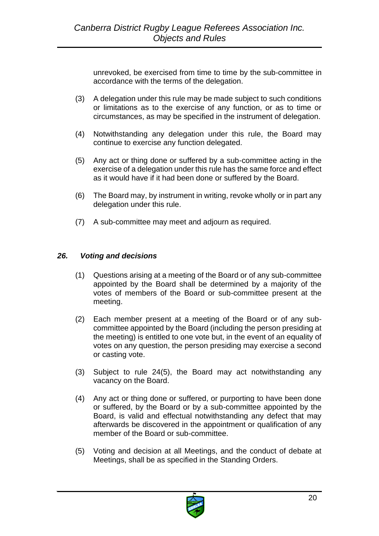unrevoked, be exercised from time to time by the sub-committee in accordance with the terms of the delegation.

- (3) A delegation under this rule may be made subject to such conditions or limitations as to the exercise of any function, or as to time or circumstances, as may be specified in the instrument of delegation.
- (4) Notwithstanding any delegation under this rule, the Board may continue to exercise any function delegated.
- (5) Any act or thing done or suffered by a sub-committee acting in the exercise of a delegation under this rule has the same force and effect as it would have if it had been done or suffered by the Board.
- (6) The Board may, by instrument in writing, revoke wholly or in part any delegation under this rule.
- (7) A sub-committee may meet and adjourn as required.

# <span id="page-19-0"></span>*26. Voting and decisions*

- (1) Questions arising at a meeting of the Board or of any sub-committee appointed by the Board shall be determined by a majority of the votes of members of the Board or sub-committee present at the meeting.
- (2) Each member present at a meeting of the Board or of any subcommittee appointed by the Board (including the person presiding at the meeting) is entitled to one vote but, in the event of an equality of votes on any question, the person presiding may exercise a second or casting vote.
- (3) Subject to rule 24(5), the Board may act notwithstanding any vacancy on the Board.
- (4) Any act or thing done or suffered, or purporting to have been done or suffered, by the Board or by a sub-committee appointed by the Board, is valid and effectual notwithstanding any defect that may afterwards be discovered in the appointment or qualification of any member of the Board or sub-committee.
- (5) Voting and decision at all Meetings, and the conduct of debate at Meetings, shall be as specified in the Standing Orders.

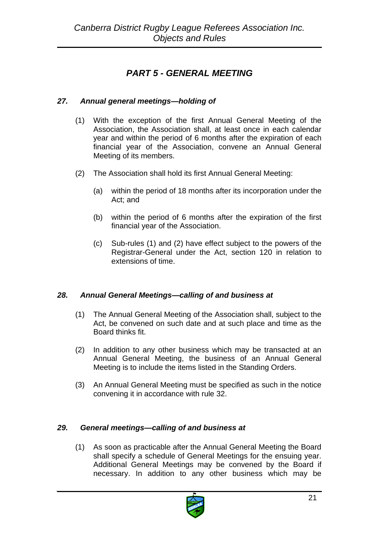# *PART 5 - GENERAL MEETING*

# <span id="page-20-1"></span><span id="page-20-0"></span>*27. Annual general meetings—holding of*

- (1) With the exception of the first Annual General Meeting of the Association, the Association shall, at least once in each calendar year and within the period of 6 months after the expiration of each financial year of the Association, convene an Annual General Meeting of its members.
- (2) The Association shall hold its first Annual General Meeting:
	- (a) within the period of 18 months after its incorporation under the Act; and
	- (b) within the period of 6 months after the expiration of the first financial year of the Association.
	- (c) Sub-rules (1) and (2) have effect subject to the powers of the Registrar-General under the Act, section 120 in relation to extensions of time.

#### <span id="page-20-2"></span>*28. Annual General Meetings—calling of and business at*

- (1) The Annual General Meeting of the Association shall, subject to the Act, be convened on such date and at such place and time as the Board thinks fit.
- (2) In addition to any other business which may be transacted at an Annual General Meeting, the business of an Annual General Meeting is to include the items listed in the Standing Orders.
- (3) An Annual General Meeting must be specified as such in the notice convening it in accordance with rule 32.

#### <span id="page-20-3"></span>*29. General meetings—calling of and business at*

(1) As soon as practicable after the Annual General Meeting the Board shall specify a schedule of General Meetings for the ensuing year. Additional General Meetings may be convened by the Board if necessary. In addition to any other business which may be

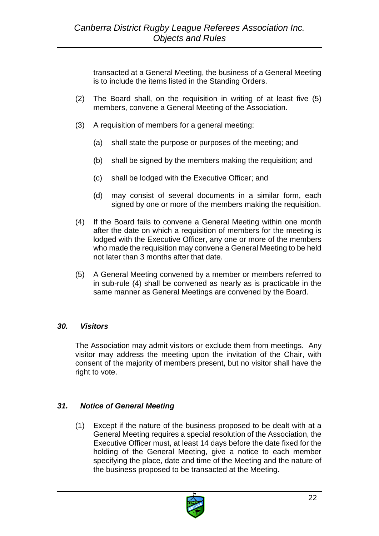transacted at a General Meeting, the business of a General Meeting is to include the items listed in the Standing Orders.

- (2) The Board shall, on the requisition in writing of at least five (5) members, convene a General Meeting of the Association.
- (3) A requisition of members for a general meeting:
	- (a) shall state the purpose or purposes of the meeting; and
	- (b) shall be signed by the members making the requisition; and
	- (c) shall be lodged with the Executive Officer; and
	- (d) may consist of several documents in a similar form, each signed by one or more of the members making the requisition.
- (4) If the Board fails to convene a General Meeting within one month after the date on which a requisition of members for the meeting is lodged with the Executive Officer, any one or more of the members who made the requisition may convene a General Meeting to be held not later than 3 months after that date.
- (5) A General Meeting convened by a member or members referred to in sub-rule (4) shall be convened as nearly as is practicable in the same manner as General Meetings are convened by the Board.

#### <span id="page-21-0"></span>*30. Visitors*

The Association may admit visitors or exclude them from meetings. Any visitor may address the meeting upon the invitation of the Chair, with consent of the majority of members present, but no visitor shall have the right to vote.

# <span id="page-21-1"></span>*31. Notice of General Meeting*

(1) Except if the nature of the business proposed to be dealt with at a General Meeting requires a special resolution of the Association, the Executive Officer must, at least 14 days before the date fixed for the holding of the General Meeting, give a notice to each member specifying the place, date and time of the Meeting and the nature of the business proposed to be transacted at the Meeting.

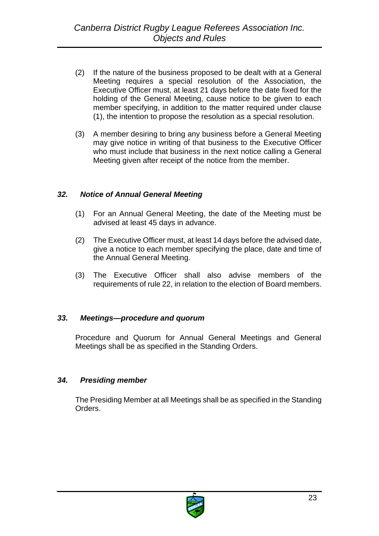- (2) If the nature of the business proposed to be dealt with at a General Meeting requires a special resolution of the Association, the Executive Officer must, at least 21 days before the date fixed for the holding of the General Meeting, cause notice to be given to each member specifying, in addition to the matter required under clause (1), the intention to propose the resolution as a special resolution.
- (3) A member desiring to bring any business before a General Meeting may give notice in writing of that business to the Executive Officer who must include that business in the next notice calling a General Meeting given after receipt of the notice from the member.

#### <span id="page-22-0"></span>*32. Notice of Annual General Meeting*

- (1) For an Annual General Meeting, the date of the Meeting must be advised at least 45 days in advance.
- (2) The Executive Officer must, at least 14 days before the advised date, give a notice to each member specifying the place, date and time of the Annual General Meeting.
- (3) The Executive Officer shall also advise members of the requirements of rule 22, in relation to the election of Board members.

# <span id="page-22-1"></span>*33. Meetings—procedure and quorum*

Procedure and Quorum for Annual General Meetings and General Meetings shall be as specified in the Standing Orders.

# <span id="page-22-2"></span>*34. Presiding member*

The Presiding Member at all Meetings shall be as specified in the Standing Orders.

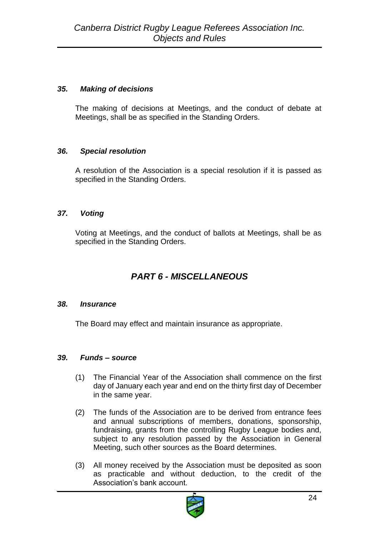# <span id="page-23-0"></span>*35. Making of decisions*

The making of decisions at Meetings, and the conduct of debate at Meetings, shall be as specified in the Standing Orders.

# <span id="page-23-1"></span>*36. Special resolution*

A resolution of the Association is a special resolution if it is passed as specified in the Standing Orders.

# <span id="page-23-2"></span>*37. Voting*

Voting at Meetings, and the conduct of ballots at Meetings, shall be as specified in the Standing Orders.

# *PART 6 - MISCELLANEOUS*

# <span id="page-23-4"></span><span id="page-23-3"></span>*38. Insurance*

The Board may effect and maintain insurance as appropriate.

# <span id="page-23-5"></span>*39. Funds – source*

- (1) The Financial Year of the Association shall commence on the first day of January each year and end on the thirty first day of December in the same year.
- (2) The funds of the Association are to be derived from entrance fees and annual subscriptions of members, donations, sponsorship, fundraising, grants from the controlling Rugby League bodies and, subject to any resolution passed by the Association in General Meeting, such other sources as the Board determines.
- (3) All money received by the Association must be deposited as soon as practicable and without deduction, to the credit of the Association's bank account.

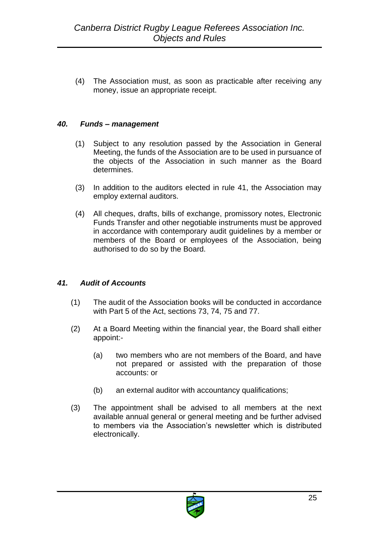(4) The Association must, as soon as practicable after receiving any money, issue an appropriate receipt.

#### <span id="page-24-0"></span>*40. Funds – management*

- (1) Subject to any resolution passed by the Association in General Meeting, the funds of the Association are to be used in pursuance of the objects of the Association in such manner as the Board determines.
- (3) In addition to the auditors elected in rule 41, the Association may employ external auditors.
- (4) All cheques, drafts, bills of exchange, promissory notes, Electronic Funds Transfer and other negotiable instruments must be approved in accordance with contemporary audit guidelines by a member or members of the Board or employees of the Association, being authorised to do so by the Board.

#### <span id="page-24-1"></span>*41. Audit of Accounts*

- (1) The audit of the Association books will be conducted in accordance with Part 5 of the Act, sections 73, 74, 75 and 77.
- (2) At a Board Meeting within the financial year, the Board shall either appoint:-
	- (a) two members who are not members of the Board, and have not prepared or assisted with the preparation of those accounts: or
	- (b) an external auditor with accountancy qualifications;
- (3) The appointment shall be advised to all members at the next available annual general or general meeting and be further advised to members via the Association's newsletter which is distributed electronically.

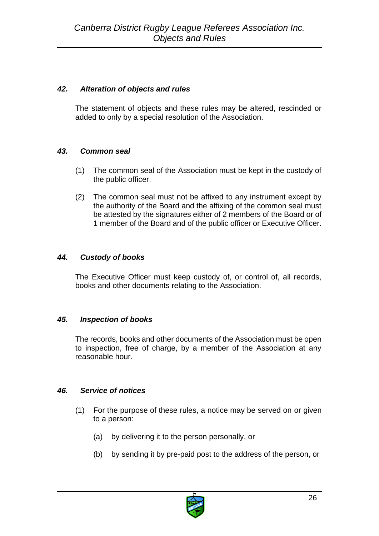# <span id="page-25-0"></span>*42. Alteration of objects and rules*

The statement of objects and these rules may be altered, rescinded or added to only by a special resolution of the Association.

# <span id="page-25-1"></span>*43. Common seal*

- (1) The common seal of the Association must be kept in the custody of the public officer.
- (2) The common seal must not be affixed to any instrument except by the authority of the Board and the affixing of the common seal must be attested by the signatures either of 2 members of the Board or of 1 member of the Board and of the public officer or Executive Officer.

# <span id="page-25-2"></span>*44. Custody of books*

The Executive Officer must keep custody of, or control of, all records, books and other documents relating to the Association.

# <span id="page-25-3"></span>*45. Inspection of books*

The records, books and other documents of the Association must be open to inspection, free of charge, by a member of the Association at any reasonable hour.

# <span id="page-25-4"></span>*46. Service of notices*

- (1) For the purpose of these rules, a notice may be served on or given to a person:
	- (a) by delivering it to the person personally, or
	- (b) by sending it by pre-paid post to the address of the person, or

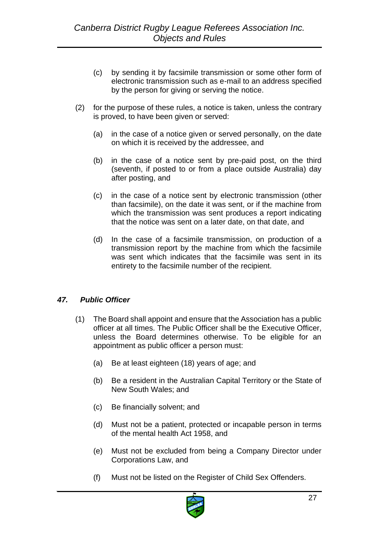- (c) by sending it by facsimile transmission or some other form of electronic transmission such as e-mail to an address specified by the person for giving or serving the notice.
- (2) for the purpose of these rules, a notice is taken, unless the contrary is proved, to have been given or served:
	- (a) in the case of a notice given or served personally, on the date on which it is received by the addressee, and
	- (b) in the case of a notice sent by pre-paid post, on the third (seventh, if posted to or from a place outside Australia) day after posting, and
	- (c) in the case of a notice sent by electronic transmission (other than facsimile), on the date it was sent, or if the machine from which the transmission was sent produces a report indicating that the notice was sent on a later date, on that date, and
	- (d) In the case of a facsimile transmission, on production of a transmission report by the machine from which the facsimile was sent which indicates that the facsimile was sent in its entirety to the facsimile number of the recipient.

# <span id="page-26-0"></span>*47. Public Officer*

- (1) The Board shall appoint and ensure that the Association has a public officer at all times. The Public Officer shall be the Executive Officer, unless the Board determines otherwise. To be eligible for an appointment as public officer a person must:
	- (a) Be at least eighteen (18) years of age; and
	- (b) Be a resident in the Australian Capital Territory or the State of New South Wales; and
	- (c) Be financially solvent; and
	- (d) Must not be a patient, protected or incapable person in terms of the mental health Act 1958, and
	- (e) Must not be excluded from being a Company Director under Corporations Law, and
	- (f) Must not be listed on the Register of Child Sex Offenders.